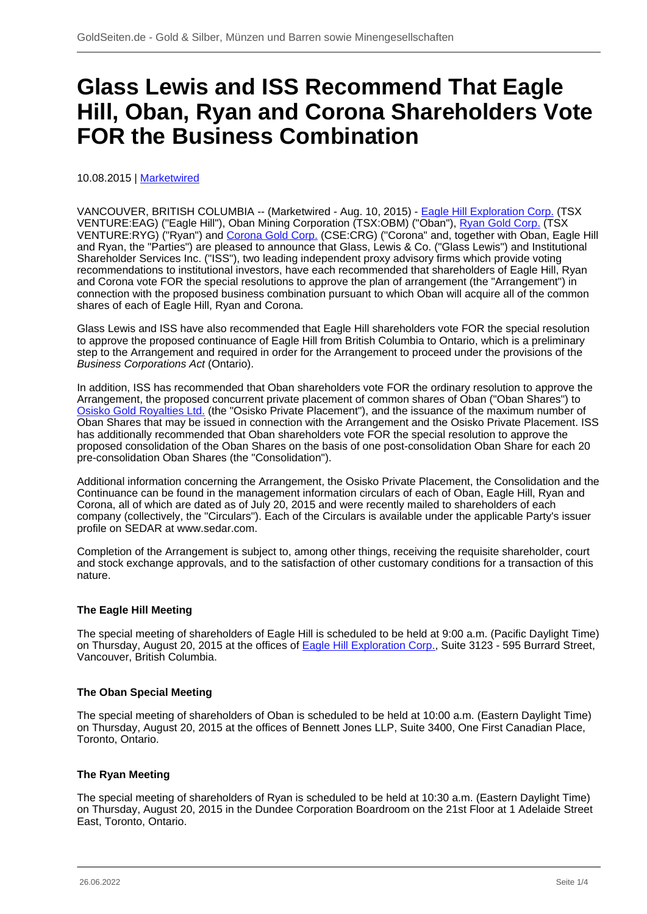# **Glass Lewis and ISS Recommend That Eagle Hill, Oban, Ryan and Corona Shareholders Vote FOR the Business Combination**

10.08.2015 | [Marketwired](/profil/226--Marketwired)

VANCOUVER, BRITISH COLUMBIA -- (Marketwired - Aug. 10, 2015) - [Eagle Hill Exploration Corp.](/minen/1632--Eagle-Hill-Exploration-Corp) (TSX VENTURE:EAG) ("Eagle Hill"), Oban Mining Corporation (TSX:OBM) ("Oban"), [Ryan Gold Corp.](/minen/2082--Ryan-Gold-Corp) (TSX VENTURE:RYG) ("Ryan") and [Corona Gold Corp.](/minen/2411--Corona-Gold-Corp) (CSE:CRG) ("Corona" and, together with Oban, Eagle Hill and Ryan, the "Parties") are pleased to announce that Glass, Lewis & Co. ("Glass Lewis") and Institutional Shareholder Services Inc. ("ISS"), two leading independent proxy advisory firms which provide voting recommendations to institutional investors, have each recommended that shareholders of Eagle Hill, Ryan and Corona vote FOR the special resolutions to approve the plan of arrangement (the "Arrangement") in connection with the proposed business combination pursuant to which Oban will acquire all of the common shares of each of Eagle Hill, Ryan and Corona.

Glass Lewis and ISS have also recommended that Eagle Hill shareholders vote FOR the special resolution to approve the proposed continuance of Eagle Hill from British Columbia to Ontario, which is a preliminary step to the Arrangement and required in order for the Arrangement to proceed under the provisions of the Business Corporations Act (Ontario).

In addition, ISS has recommended that Oban shareholders vote FOR the ordinary resolution to approve the Arrangement, the proposed concurrent private placement of common shares of Oban ("Oban Shares") to [Osisko Gold Royalties Ltd.](/minen/2929--Osisko-Gold-Royalties-Ltd) (the "Osisko Private Placement"), and the issuance of the maximum number of Oban Shares that may be issued in connection with the Arrangement and the Osisko Private Placement. ISS has additionally recommended that Oban shareholders vote FOR the special resolution to approve the proposed consolidation of the Oban Shares on the basis of one post-consolidation Oban Share for each 20 pre-consolidation Oban Shares (the "Consolidation").

Additional information concerning the Arrangement, the Osisko Private Placement, the Consolidation and the Continuance can be found in the management information circulars of each of Oban, Eagle Hill, Ryan and Corona, all of which are dated as of July 20, 2015 and were recently mailed to shareholders of each company (collectively, the "Circulars"). Each of the Circulars is available under the applicable Party's issuer profile on SEDAR at www.sedar.com.

Completion of the Arrangement is subject to, among other things, receiving the requisite shareholder, court and stock exchange approvals, and to the satisfaction of other customary conditions for a transaction of this nature.

# **The Eagle Hill Meeting**

The special meeting of shareholders of Eagle Hill is scheduled to be held at 9:00 a.m. (Pacific Daylight Time) on Thursday, August 20, 2015 at the offices of [Eagle Hill Exploration Corp.](/minen/1632--Eagle-Hill-Exploration-Corp), Suite 3123 - 595 Burrard Street, Vancouver, British Columbia.

# **The Oban Special Meeting**

The special meeting of shareholders of Oban is scheduled to be held at 10:00 a.m. (Eastern Daylight Time) on Thursday, August 20, 2015 at the offices of Bennett Jones LLP, Suite 3400, One First Canadian Place, Toronto, Ontario.

# **The Ryan Meeting**

The special meeting of shareholders of Ryan is scheduled to be held at 10:30 a.m. (Eastern Daylight Time) on Thursday, August 20, 2015 in the Dundee Corporation Boardroom on the 21st Floor at 1 Adelaide Street East, Toronto, Ontario.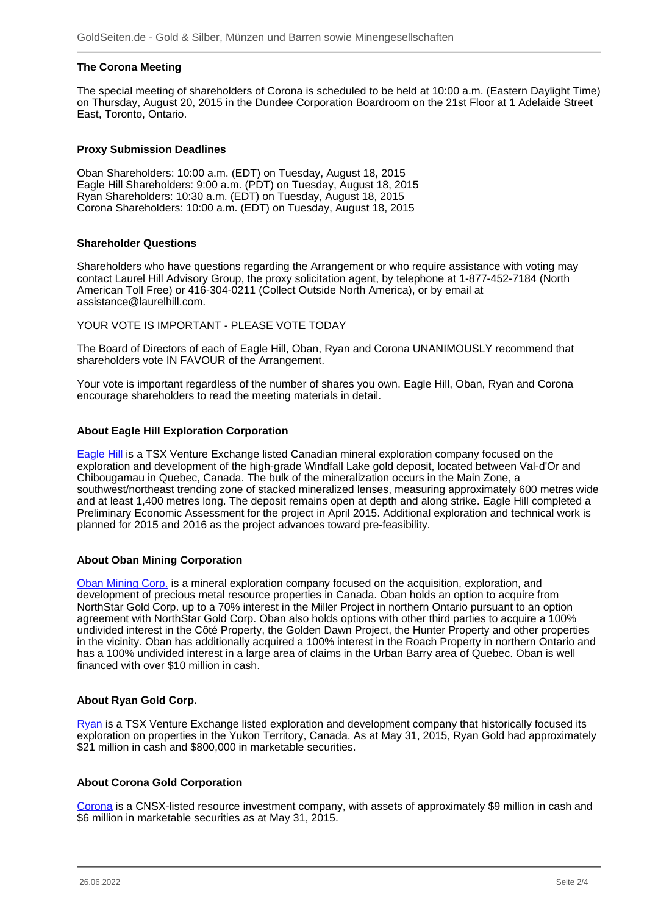## **The Corona Meeting**

The special meeting of shareholders of Corona is scheduled to be held at 10:00 a.m. (Eastern Daylight Time) on Thursday, August 20, 2015 in the Dundee Corporation Boardroom on the 21st Floor at 1 Adelaide Street East, Toronto, Ontario.

#### **Proxy Submission Deadlines**

Oban Shareholders: 10:00 a.m. (EDT) on Tuesday, August 18, 2015 Eagle Hill Shareholders: 9:00 a.m. (PDT) on Tuesday, August 18, 2015 Ryan Shareholders: 10:30 a.m. (EDT) on Tuesday, August 18, 2015 Corona Shareholders: 10:00 a.m. (EDT) on Tuesday, August 18, 2015

#### **Shareholder Questions**

Shareholders who have questions regarding the Arrangement or who require assistance with voting may contact Laurel Hill Advisory Group, the proxy solicitation agent, by telephone at 1-877-452-7184 (North American Toll Free) or 416-304-0211 (Collect Outside North America), or by email at assistance@laurelhill.com.

#### YOUR VOTE IS IMPORTANT - PLEASE VOTE TODAY

The Board of Directors of each of Eagle Hill, Oban, Ryan and Corona UNANIMOUSLY recommend that shareholders vote IN FAVOUR of the Arrangement.

Your vote is important regardless of the number of shares you own. Eagle Hill, Oban, Ryan and Corona encourage shareholders to read the meeting materials in detail.

#### **About Eagle Hill Exploration Corporation**

[Eagle Hill](/minen/1632--Eagle-Hill-Exploration-Corp) is a TSX Venture Exchange listed Canadian mineral exploration company focused on the exploration and development of the high-grade Windfall Lake gold deposit, located between Val-d'Or and Chibougamau in Quebec, Canada. The bulk of the mineralization occurs in the Main Zone, a southwest/northeast trending zone of stacked mineralized lenses, measuring approximately 600 metres wide and at least 1,400 metres long. The deposit remains open at depth and along strike. Eagle Hill completed a Preliminary Economic Assessment for the project in April 2015. Additional exploration and technical work is planned for 2015 and 2016 as the project advances toward pre-feasibility.

#### **About Oban Mining Corporation**

[Oban Mining Corp.](/minen/2876--Osisko-Mining-Inc) is a mineral exploration company focused on the acquisition, exploration, and development of precious metal resource properties in Canada. Oban holds an option to acquire from NorthStar Gold Corp. up to a 70% interest in the Miller Project in northern Ontario pursuant to an option agreement with NorthStar Gold Corp. Oban also holds options with other third parties to acquire a 100% undivided interest in the Côté Property, the Golden Dawn Project, the Hunter Property and other properties in the vicinity. Oban has additionally acquired a 100% interest in the Roach Property in northern Ontario and has a 100% undivided interest in a large area of claims in the Urban Barry area of Quebec. Oban is well financed with over \$10 million in cash.

#### **About Ryan Gold Corp.**

[Ryan](/minen/2082--Ryan-Gold-Corp) is a TSX Venture Exchange listed exploration and development company that historically focused its exploration on properties in the Yukon Territory, Canada. As at May 31, 2015, Ryan Gold had approximately \$21 million in cash and \$800,000 in marketable securities.

#### **About Corona Gold Corporation**

[Corona](/minen/2411--Corona-Gold-Corp) is a CNSX-listed resource investment company, with assets of approximately \$9 million in cash and \$6 million in marketable securities as at May 31, 2015.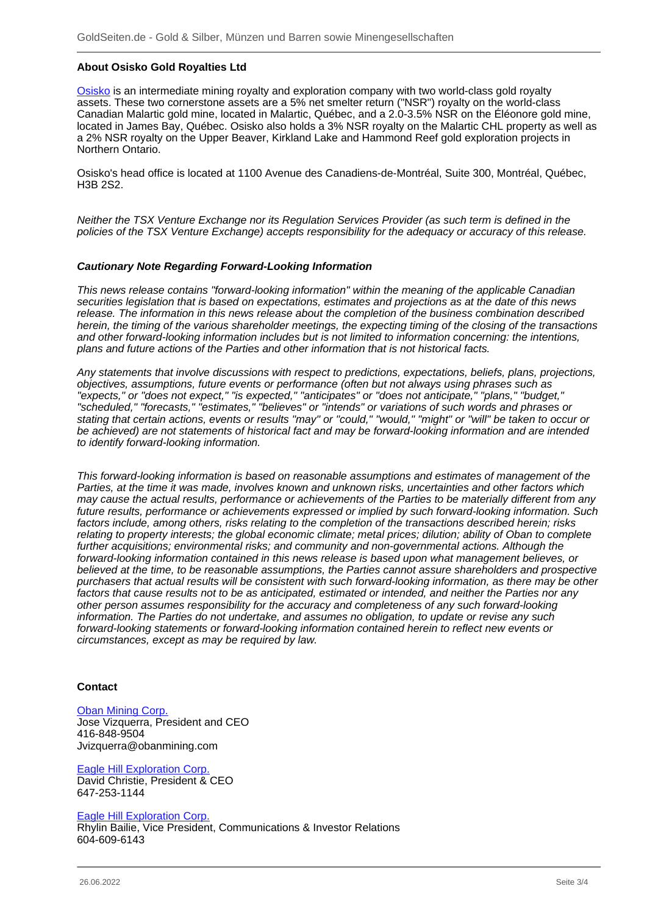## **About Osisko Gold Royalties Ltd**

[Osisko](/minen/2929--Osisko-Gold-Royalties-Ltd) is an intermediate mining royalty and exploration company with two world-class gold royalty assets. These two cornerstone assets are a 5% net smelter return ("NSR") royalty on the world-class Canadian Malartic gold mine, located in Malartic, Québec, and a 2.0-3.5% NSR on the Éléonore gold mine, located in James Bay, Québec. Osisko also holds a 3% NSR royalty on the Malartic CHL property as well as a 2% NSR royalty on the Upper Beaver, Kirkland Lake and Hammond Reef gold exploration projects in Northern Ontario.

Osisko's head office is located at 1100 Avenue des Canadiens-de-Montréal, Suite 300, Montréal, Québec, H3B 2S2.

Neither the TSX Venture Exchange nor its Regulation Services Provider (as such term is defined in the policies of the TSX Venture Exchange) accepts responsibility for the adequacy or accuracy of this release.

#### **Cautionary Note Regarding Forward-Looking Information**

This news release contains "forward-looking information" within the meaning of the applicable Canadian securities legislation that is based on expectations, estimates and projections as at the date of this news release. The information in this news release about the completion of the business combination described herein, the timing of the various shareholder meetings, the expecting timing of the closing of the transactions and other forward-looking information includes but is not limited to information concerning: the intentions, plans and future actions of the Parties and other information that is not historical facts.

Any statements that involve discussions with respect to predictions, expectations, beliefs, plans, projections, objectives, assumptions, future events or performance (often but not always using phrases such as "expects," or "does not expect," "is expected," "anticipates" or "does not anticipate," "plans," "budget," "scheduled," "forecasts," "estimates," "believes" or "intends" or variations of such words and phrases or stating that certain actions, events or results "may" or "could," "would," "might" or "will" be taken to occur or be achieved) are not statements of historical fact and may be forward-looking information and are intended to identify forward-looking information.

This forward-looking information is based on reasonable assumptions and estimates of management of the Parties, at the time it was made, involves known and unknown risks, uncertainties and other factors which may cause the actual results, performance or achievements of the Parties to be materially different from any future results, performance or achievements expressed or implied by such forward-looking information. Such factors include, among others, risks relating to the completion of the transactions described herein; risks relating to property interests; the global economic climate; metal prices; dilution; ability of Oban to complete further acquisitions; environmental risks; and community and non-governmental actions. Although the forward-looking information contained in this news release is based upon what management believes, or believed at the time, to be reasonable assumptions, the Parties cannot assure shareholders and prospective purchasers that actual results will be consistent with such forward-looking information, as there may be other factors that cause results not to be as anticipated, estimated or intended, and neither the Parties nor any other person assumes responsibility for the accuracy and completeness of any such forward-looking information. The Parties do not undertake, and assumes no obligation, to update or revise any such forward-looking statements or forward-looking information contained herein to reflect new events or circumstances, except as may be required by law.

## **Contact**

#### [Oban Mining Corp.](/minen/2876--Osisko-Mining-Inc) Jose Vizquerra, President and CEO 416-848-9504 Jvizquerra@obanmining.com

[Eagle Hill Exploration Corp.](/minen/1632--Eagle-Hill-Exploration-Corp) David Christie, President & CEO 647-253-1144

#### [Eagle Hill Exploration Corp.](/minen/1632--Eagle-Hill-Exploration-Corp)

Rhylin Bailie, Vice President, Communications & Investor Relations 604-609-6143